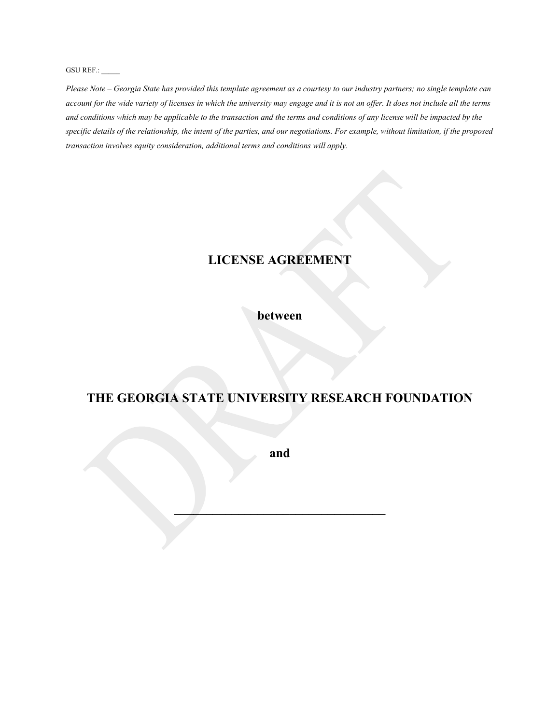GSU REF.:

*Please Note – Georgia State has provided this template agreement as a courtesy to our industry partners; no single template can account for the wide variety of licenses in which the university may engage and it is not an offer. It does not include all the terms and conditions which may be applicable to the transaction and the terms and conditions of any license will be impacted by the specific details of the relationship, the intent of the parties, and our negotiations. For example, without limitation, if the proposed transaction involves equity consideration, additional terms and conditions will apply.*

# **LICENSE AGREEMENT**

## **between**

# **THE GEORGIA STATE UNIVERSITY RESEARCH FOUNDATION**

**and**

**\_\_\_\_\_\_\_\_\_\_\_\_\_\_\_\_\_\_\_\_\_\_\_\_\_\_\_\_\_\_\_\_\_**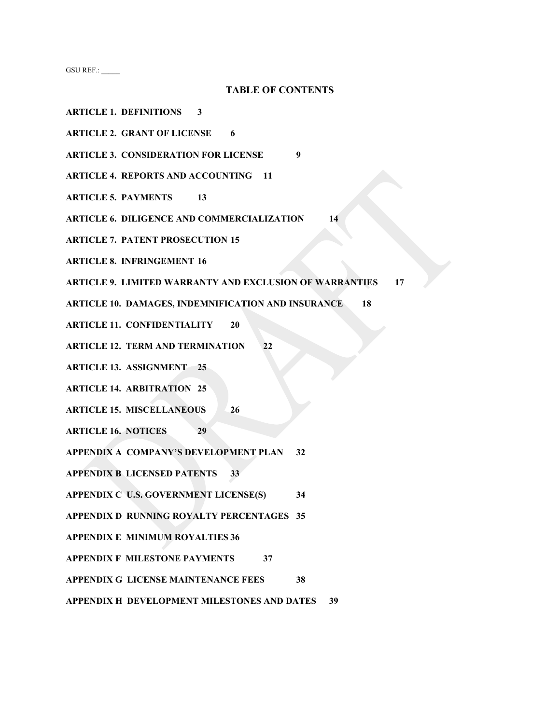GSU REF.: \_\_\_\_\_

#### **TABLE OF CONTENTS**

- **ARTICLE 1. DEFINITIONS 3**
- **ARTICLE 2. GRANT OF LICENSE 6**
- **ARTICLE 3. CONSIDERATION FOR LICENSE 9**
- **ARTICLE 4. REPORTS AND ACCOUNTING 11**
- **ARTICLE 5. PAYMENTS 13**
- **ARTICLE 6. DILIGENCE AND COMMERCIALIZATION 14**
- **ARTICLE 7. PATENT PROSECUTION 15**
- **ARTICLE 8. INFRINGEMENT 16**
- **ARTICLE 9. LIMITED WARRANTY AND EXCLUSION OF WARRANTIES 17**
- **ARTICLE 10. DAMAGES, INDEMNIFICATION AND INSURANCE 18**
- **ARTICLE 11. CONFIDENTIALITY 20**
- **ARTICLE 12. TERM AND TERMINATION 22**
- **ARTICLE 13. ASSIGNMENT 25**
- **ARTICLE 14. ARBITRATION 25**
- **ARTICLE 15. MISCELLANEOUS 26**
- **ARTICLE 16. NOTICES 29**
- **APPENDIX A COMPANY'S DEVELOPMENT PLAN 32**
- **APPENDIX B LICENSED PATENTS 33**
- **APPENDIX C U.S. GOVERNMENT LICENSE(S) 34**
- **APPENDIX D RUNNING ROYALTY PERCENTAGES 35**
- **APPENDIX E MINIMUM ROYALTIES 36**
- **APPENDIX F MILESTONE PAYMENTS 37**
- **APPENDIX G LICENSE MAINTENANCE FEES 38**
- **APPENDIX H DEVELOPMENT MILESTONES AND DATES 39**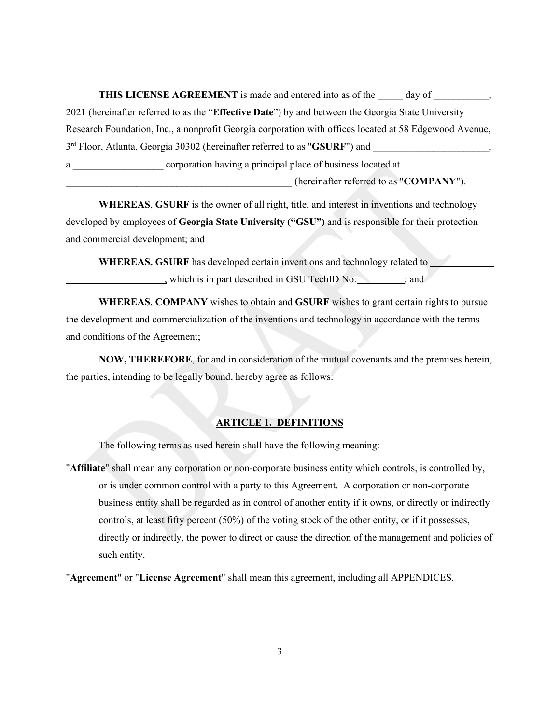**THIS LICENSE AGREEMENT** is made and entered into as of the \_\_\_\_\_ day of \_\_\_\_\_\_\_\_, 2021 (hereinafter referred to as the "**Effective Date**") by and between the Georgia State University Research Foundation, Inc., a nonprofit Georgia corporation with offices located at 58 Edgewood Avenue, 3<sup>rd</sup> Floor, Atlanta, Georgia 30302 (hereinafter referred to as "**GSURF**") and a corporation having a principal place of business located at \_\_\_\_\_\_\_\_\_\_\_\_\_\_\_\_\_\_\_\_\_\_\_\_\_\_\_\_\_\_\_\_\_\_\_\_\_\_\_\_\_\_\_\_\_ (hereinafter referred to as "**COMPANY**").

**WHEREAS**, **GSURF** is the owner of all right, title, and interest in inventions and technology developed by employees of **Georgia State University ("GSU")** and is responsible for their protection and commercial development; and

**WHEREAS, GSURF** has developed certain inventions and technology related to , which is in part described in GSU TechID No.  $\cdot$  ; and

**WHEREAS**, **COMPANY** wishes to obtain and **GSURF** wishes to grant certain rights to pursue the development and commercialization of the inventions and technology in accordance with the terms and conditions of the Agreement;

**NOW, THEREFORE**, for and in consideration of the mutual covenants and the premises herein, the parties, intending to be legally bound, hereby agree as follows:

## **ARTICLE 1. DEFINITIONS**

The following terms as used herein shall have the following meaning:

"**Affiliate**" shall mean any corporation or non-corporate business entity which controls, is controlled by, or is under common control with a party to this Agreement. A corporation or non-corporate business entity shall be regarded as in control of another entity if it owns, or directly or indirectly controls, at least fifty percent (50%) of the voting stock of the other entity, or if it possesses, directly or indirectly, the power to direct or cause the direction of the management and policies of such entity.

"**Agreement**" or "**License Agreement**" shall mean this agreement, including all APPENDICES.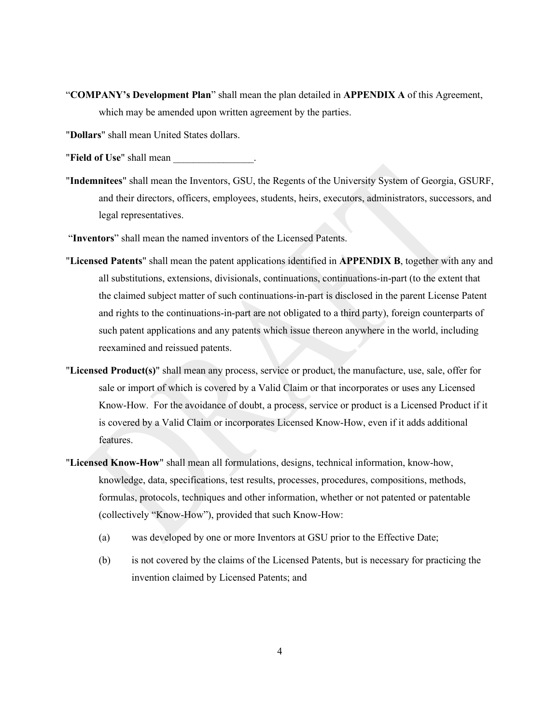- "**COMPANY's Development Plan**" shall mean the plan detailed in **APPENDIX A** of this Agreement, which may be amended upon written agreement by the parties.
- "**Dollars**" shall mean United States dollars.
- "**Field of Use**" shall mean
- "**Indemnitees**" shall mean the Inventors, GSU, the Regents of the University System of Georgia, GSURF, and their directors, officers, employees, students, heirs, executors, administrators, successors, and legal representatives.
- "**Inventors**" shall mean the named inventors of the Licensed Patents.
- "**Licensed Patents**" shall mean the patent applications identified in **APPENDIX B**, together with any and all substitutions, extensions, divisionals, continuations, continuations-in-part (to the extent that the claimed subject matter of such continuations-in-part is disclosed in the parent License Patent and rights to the continuations-in-part are not obligated to a third party), foreign counterparts of such patent applications and any patents which issue thereon anywhere in the world, including reexamined and reissued patents.
- "**Licensed Product(s)**" shall mean any process, service or product, the manufacture, use, sale, offer for sale or import of which is covered by a Valid Claim or that incorporates or uses any Licensed Know-How. For the avoidance of doubt, a process, service or product is a Licensed Product if it is covered by a Valid Claim or incorporates Licensed Know-How, even if it adds additional features.
- "**Licensed Know-How**" shall mean all formulations, designs, technical information, know-how, knowledge, data, specifications, test results, processes, procedures, compositions, methods, formulas, protocols, techniques and other information, whether or not patented or patentable (collectively "Know-How"), provided that such Know-How:
	- (a) was developed by one or more Inventors at GSU prior to the Effective Date;
	- (b) is not covered by the claims of the Licensed Patents, but is necessary for practicing the invention claimed by Licensed Patents; and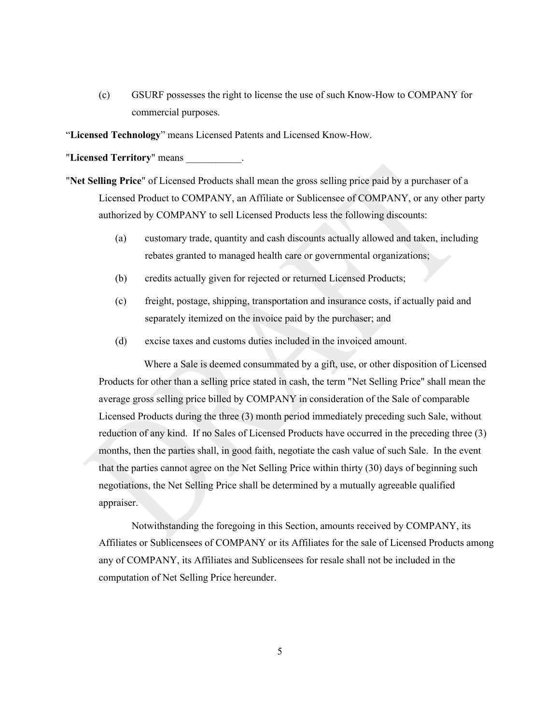(c) GSURF possesses the right to license the use of such Know-How to COMPANY for commercial purposes.

"**Licensed Technology**" means Licensed Patents and Licensed Know-How.

"**Licensed Territory**" means \_\_\_\_\_\_\_\_\_\_\_.

- "**Net Selling Price**" of Licensed Products shall mean the gross selling price paid by a purchaser of a Licensed Product to COMPANY, an Affiliate or Sublicensee of COMPANY, or any other party authorized by COMPANY to sell Licensed Products less the following discounts:
	- (a) customary trade, quantity and cash discounts actually allowed and taken, including rebates granted to managed health care or governmental organizations;
	- (b) credits actually given for rejected or returned Licensed Products;
	- (c) freight, postage, shipping, transportation and insurance costs, if actually paid and separately itemized on the invoice paid by the purchaser; and
	- (d) excise taxes and customs duties included in the invoiced amount.

Where a Sale is deemed consummated by a gift, use, or other disposition of Licensed Products for other than a selling price stated in cash, the term "Net Selling Price" shall mean the average gross selling price billed by COMPANY in consideration of the Sale of comparable Licensed Products during the three (3) month period immediately preceding such Sale, without reduction of any kind. If no Sales of Licensed Products have occurred in the preceding three (3) months, then the parties shall, in good faith, negotiate the cash value of such Sale. In the event that the parties cannot agree on the Net Selling Price within thirty (30) days of beginning such negotiations, the Net Selling Price shall be determined by a mutually agreeable qualified appraiser.

Notwithstanding the foregoing in this Section, amounts received by COMPANY, its Affiliates or Sublicensees of COMPANY or its Affiliates for the sale of Licensed Products among any of COMPANY, its Affiliates and Sublicensees for resale shall not be included in the computation of Net Selling Price hereunder.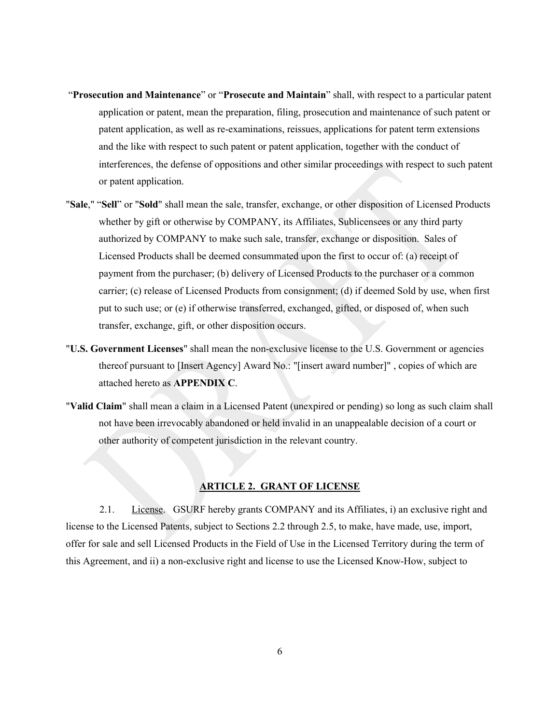- "**Prosecution and Maintenance**" or "**Prosecute and Maintain**" shall, with respect to a particular patent application or patent, mean the preparation, filing, prosecution and maintenance of such patent or patent application, as well as re-examinations, reissues, applications for patent term extensions and the like with respect to such patent or patent application, together with the conduct of interferences, the defense of oppositions and other similar proceedings with respect to such patent or patent application.
- "**Sale**," "**Sell**" or "**Sold**" shall mean the sale, transfer, exchange, or other disposition of Licensed Products whether by gift or otherwise by COMPANY, its Affiliates, Sublicensees or any third party authorized by COMPANY to make such sale, transfer, exchange or disposition. Sales of Licensed Products shall be deemed consummated upon the first to occur of: (a) receipt of payment from the purchaser; (b) delivery of Licensed Products to the purchaser or a common carrier; (c) release of Licensed Products from consignment; (d) if deemed Sold by use, when first put to such use; or (e) if otherwise transferred, exchanged, gifted, or disposed of, when such transfer, exchange, gift, or other disposition occurs.
- "**U.S. Government Licenses**" shall mean the non-exclusive license to the U.S. Government or agencies thereof pursuant to [Insert Agency] Award No.: "[insert award number]" , copies of which are attached hereto as **APPENDIX C**.
- "**Valid Claim**" shall mean a claim in a Licensed Patent (unexpired or pending) so long as such claim shall not have been irrevocably abandoned or held invalid in an unappealable decision of a court or other authority of competent jurisdiction in the relevant country.

#### **ARTICLE 2. GRANT OF LICENSE**

2.1. License. GSURF hereby grants COMPANY and its Affiliates, i) an exclusive right and license to the Licensed Patents, subject to Sections 2.2 through 2.5, to make, have made, use, import, offer for sale and sell Licensed Products in the Field of Use in the Licensed Territory during the term of this Agreement, and ii) a non-exclusive right and license to use the Licensed Know-How, subject to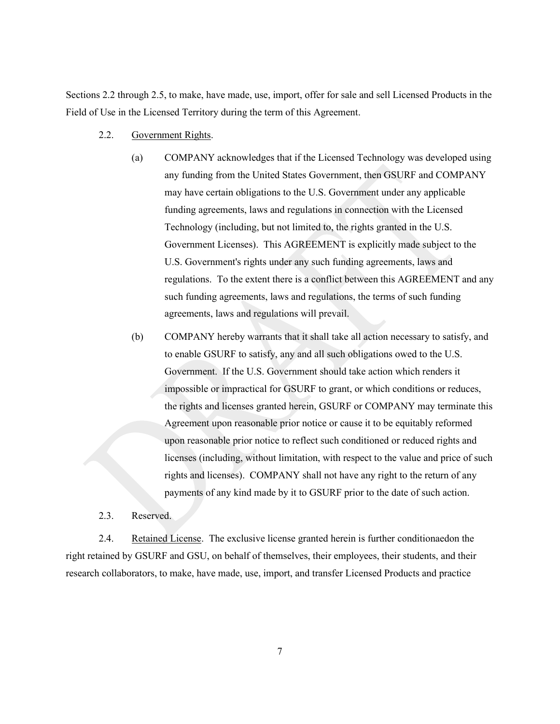Sections 2.2 through 2.5, to make, have made, use, import, offer for sale and sell Licensed Products in the Field of Use in the Licensed Territory during the term of this Agreement.

- 2.2. Government Rights.
	- (a) COMPANY acknowledges that if the Licensed Technology was developed using any funding from the United States Government, then GSURF and COMPANY may have certain obligations to the U.S. Government under any applicable funding agreements, laws and regulations in connection with the Licensed Technology (including, but not limited to, the rights granted in the U.S. Government Licenses). This AGREEMENT is explicitly made subject to the U.S. Government's rights under any such funding agreements, laws and regulations. To the extent there is a conflict between this AGREEMENT and any such funding agreements, laws and regulations, the terms of such funding agreements, laws and regulations will prevail.
	- (b) COMPANY hereby warrants that it shall take all action necessary to satisfy, and to enable GSURF to satisfy, any and all such obligations owed to the U.S. Government. If the U.S. Government should take action which renders it impossible or impractical for GSURF to grant, or which conditions or reduces, the rights and licenses granted herein, GSURF or COMPANY may terminate this Agreement upon reasonable prior notice or cause it to be equitably reformed upon reasonable prior notice to reflect such conditioned or reduced rights and licenses (including, without limitation, with respect to the value and price of such rights and licenses). COMPANY shall not have any right to the return of any payments of any kind made by it to GSURF prior to the date of such action.
- 2.3. Reserved.

2.4. Retained License. The exclusive license granted herein is further conditionaedon the right retained by GSURF and GSU, on behalf of themselves, their employees, their students, and their research collaborators, to make, have made, use, import, and transfer Licensed Products and practice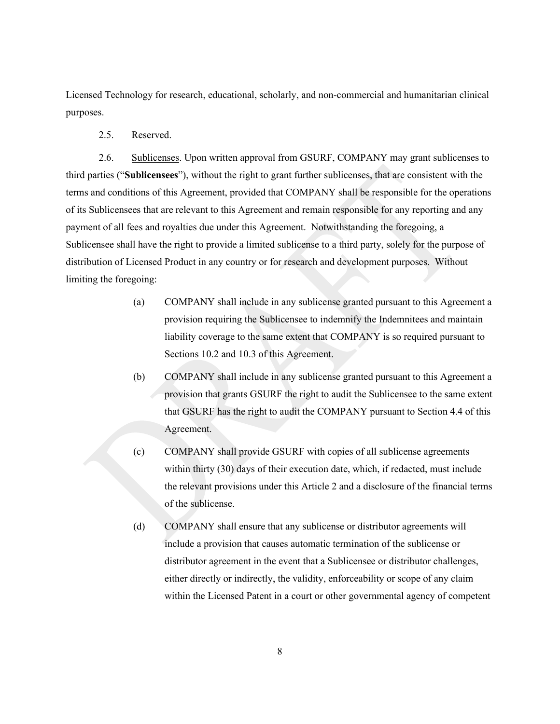Licensed Technology for research, educational, scholarly, and non-commercial and humanitarian clinical purposes.

2.5. Reserved.

2.6. Sublicenses. Upon written approval from GSURF, COMPANY may grant sublicenses to third parties ("**Sublicensees**"), without the right to grant further sublicenses, that are consistent with the terms and conditions of this Agreement, provided that COMPANY shall be responsible for the operations of its Sublicensees that are relevant to this Agreement and remain responsible for any reporting and any payment of all fees and royalties due under this Agreement. Notwithstanding the foregoing, a Sublicensee shall have the right to provide a limited sublicense to a third party, solely for the purpose of distribution of Licensed Product in any country or for research and development purposes. Without limiting the foregoing:

- (a) COMPANY shall include in any sublicense granted pursuant to this Agreement a provision requiring the Sublicensee to indemnify the Indemnitees and maintain liability coverage to the same extent that COMPANY is so required pursuant to Sections 10.2 and 10.3 of this Agreement.
- (b) COMPANY shall include in any sublicense granted pursuant to this Agreement a provision that grants GSURF the right to audit the Sublicensee to the same extent that GSURF has the right to audit the COMPANY pursuant to Section 4.4 of this Agreement.
- (c) COMPANY shall provide GSURF with copies of all sublicense agreements within thirty (30) days of their execution date, which, if redacted, must include the relevant provisions under this Article 2 and a disclosure of the financial terms of the sublicense.
- (d) COMPANY shall ensure that any sublicense or distributor agreements will include a provision that causes automatic termination of the sublicense or distributor agreement in the event that a Sublicensee or distributor challenges, either directly or indirectly, the validity, enforceability or scope of any claim within the Licensed Patent in a court or other governmental agency of competent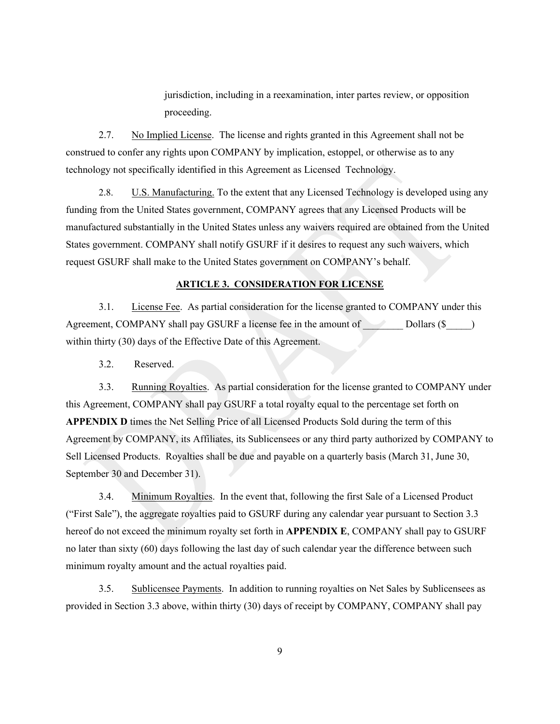jurisdiction, including in a reexamination, inter partes review, or opposition proceeding.

2.7. No Implied License. The license and rights granted in this Agreement shall not be construed to confer any rights upon COMPANY by implication, estoppel, or otherwise as to any technology not specifically identified in this Agreement as Licensed Technology.

2.8. U.S. Manufacturing. To the extent that any Licensed Technology is developed using any funding from the United States government, COMPANY agrees that any Licensed Products will be manufactured substantially in the United States unless any waivers required are obtained from the United States government. COMPANY shall notify GSURF if it desires to request any such waivers, which request GSURF shall make to the United States government on COMPANY's behalf.

#### **ARTICLE 3. CONSIDERATION FOR LICENSE**

3.1. License Fee. As partial consideration for the license granted to COMPANY under this Agreement, COMPANY shall pay GSURF a license fee in the amount of  $\Box$  Dollars (\$  $\Box$ ) within thirty (30) days of the Effective Date of this Agreement.

3.2. Reserved.

3.3. Running Royalties. As partial consideration for the license granted to COMPANY under this Agreement, COMPANY shall pay GSURF a total royalty equal to the percentage set forth on **APPENDIX D** times the Net Selling Price of all Licensed Products Sold during the term of this Agreement by COMPANY, its Affiliates, its Sublicensees or any third party authorized by COMPANY to Sell Licensed Products. Royalties shall be due and payable on a quarterly basis (March 31, June 30, September 30 and December 31).

3.4. Minimum Royalties. In the event that, following the first Sale of a Licensed Product ("First Sale"), the aggregate royalties paid to GSURF during any calendar year pursuant to Section 3.3 hereof do not exceed the minimum royalty set forth in **APPENDIX E**, COMPANY shall pay to GSURF no later than sixty (60) days following the last day of such calendar year the difference between such minimum royalty amount and the actual royalties paid.

3.5. Sublicensee Payments. In addition to running royalties on Net Sales by Sublicensees as provided in Section 3.3 above, within thirty (30) days of receipt by COMPANY, COMPANY shall pay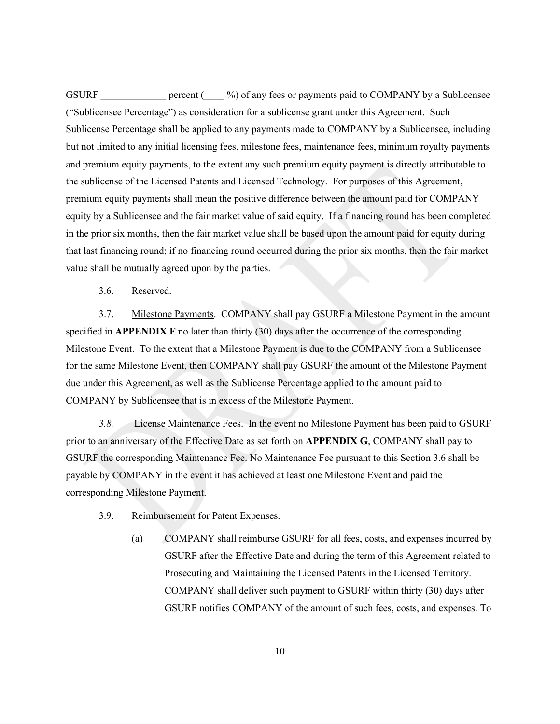GSURF percent ( $\%$ ) of any fees or payments paid to COMPANY by a Sublicensee ("Sublicensee Percentage") as consideration for a sublicense grant under this Agreement. Such Sublicense Percentage shall be applied to any payments made to COMPANY by a Sublicensee, including but not limited to any initial licensing fees, milestone fees, maintenance fees, minimum royalty payments and premium equity payments, to the extent any such premium equity payment is directly attributable to the sublicense of the Licensed Patents and Licensed Technology. For purposes of this Agreement, premium equity payments shall mean the positive difference between the amount paid for COMPANY equity by a Sublicensee and the fair market value of said equity. If a financing round has been completed in the prior six months, then the fair market value shall be based upon the amount paid for equity during that last financing round; if no financing round occurred during the prior six months, then the fair market value shall be mutually agreed upon by the parties.

3.6. Reserved.

3.7. Milestone Payments. COMPANY shall pay GSURF a Milestone Payment in the amount specified in **APPENDIX F** no later than thirty (30) days after the occurrence of the corresponding Milestone Event. To the extent that a Milestone Payment is due to the COMPANY from a Sublicensee for the same Milestone Event, then COMPANY shall pay GSURF the amount of the Milestone Payment due under this Agreement, as well as the Sublicense Percentage applied to the amount paid to COMPANY by Sublicensee that is in excess of the Milestone Payment.

*3.8.* License Maintenance Fees. In the event no Milestone Payment has been paid to GSURF prior to an anniversary of the Effective Date as set forth on **APPENDIX G**, COMPANY shall pay to GSURF the corresponding Maintenance Fee. No Maintenance Fee pursuant to this Section 3.6 shall be payable by COMPANY in the event it has achieved at least one Milestone Event and paid the corresponding Milestone Payment.

- 3.9. Reimbursement for Patent Expenses.
	- (a) COMPANY shall reimburse GSURF for all fees, costs, and expenses incurred by GSURF after the Effective Date and during the term of this Agreement related to Prosecuting and Maintaining the Licensed Patents in the Licensed Territory. COMPANY shall deliver such payment to GSURF within thirty (30) days after GSURF notifies COMPANY of the amount of such fees, costs, and expenses. To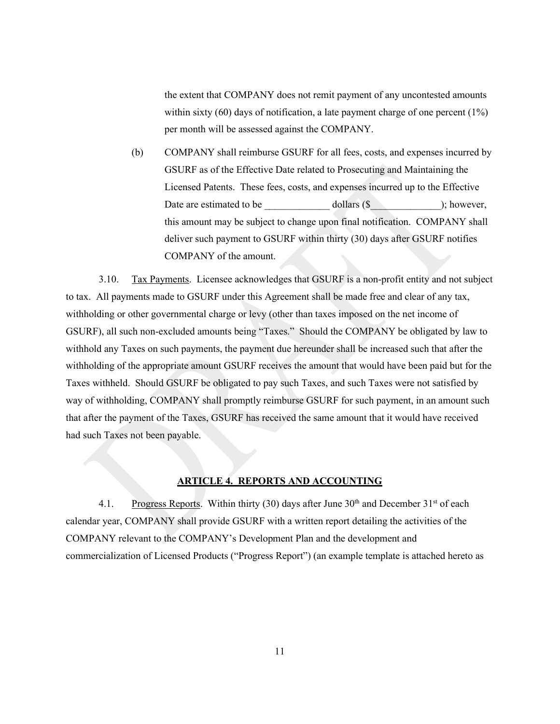the extent that COMPANY does not remit payment of any uncontested amounts within sixty  $(60)$  days of notification, a late payment charge of one percent  $(1\%)$ per month will be assessed against the COMPANY.

(b) COMPANY shall reimburse GSURF for all fees, costs, and expenses incurred by GSURF as of the Effective Date related to Prosecuting and Maintaining the Licensed Patents. These fees, costs, and expenses incurred up to the Effective Date are estimated to be  $\qquad \qquad$  dollars (\$); however, this amount may be subject to change upon final notification. COMPANY shall deliver such payment to GSURF within thirty (30) days after GSURF notifies COMPANY of the amount.

3.10. Tax Payments. Licensee acknowledges that GSURF is a non-profit entity and not subject to tax. All payments made to GSURF under this Agreement shall be made free and clear of any tax, withholding or other governmental charge or levy (other than taxes imposed on the net income of GSURF), all such non-excluded amounts being "Taxes." Should the COMPANY be obligated by law to withhold any Taxes on such payments, the payment due hereunder shall be increased such that after the withholding of the appropriate amount GSURF receives the amount that would have been paid but for the Taxes withheld. Should GSURF be obligated to pay such Taxes, and such Taxes were not satisfied by way of withholding, COMPANY shall promptly reimburse GSURF for such payment, in an amount such that after the payment of the Taxes, GSURF has received the same amount that it would have received had such Taxes not been payable.

## **ARTICLE 4. REPORTS AND ACCOUNTING**

4.1. Progress Reports. Within thirty (30) days after June  $30<sup>th</sup>$  and December  $31<sup>st</sup>$  of each calendar year, COMPANY shall provide GSURF with a written report detailing the activities of the COMPANY relevant to the COMPANY's Development Plan and the development and commercialization of Licensed Products ("Progress Report") (an example template is attached hereto as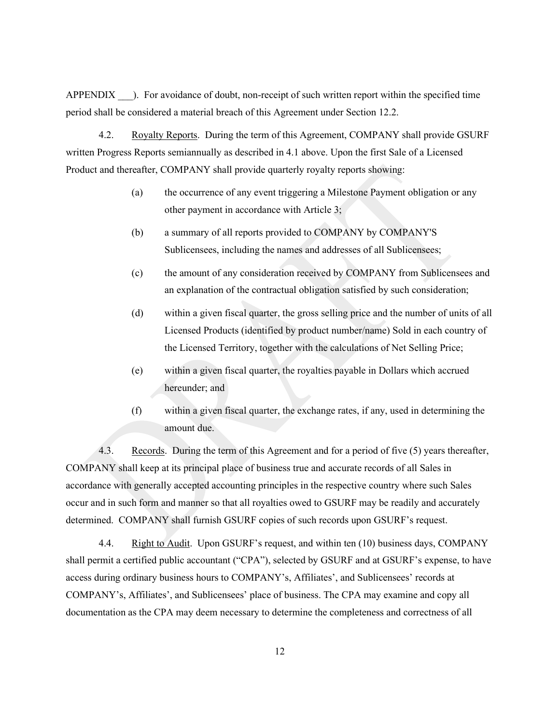APPENDIX ). For avoidance of doubt, non-receipt of such written report within the specified time period shall be considered a material breach of this Agreement under Section 12.2.

4.2. Royalty Reports. During the term of this Agreement, COMPANY shall provide GSURF written Progress Reports semiannually as described in 4.1 above. Upon the first Sale of a Licensed Product and thereafter, COMPANY shall provide quarterly royalty reports showing:

- (a) the occurrence of any event triggering a Milestone Payment obligation or any other payment in accordance with Article 3;
- (b) a summary of all reports provided to COMPANY by COMPANY'S Sublicensees, including the names and addresses of all Sublicensees;
- (c) the amount of any consideration received by COMPANY from Sublicensees and an explanation of the contractual obligation satisfied by such consideration;
- (d) within a given fiscal quarter, the gross selling price and the number of units of all Licensed Products (identified by product number/name) Sold in each country of the Licensed Territory, together with the calculations of Net Selling Price;
- (e) within a given fiscal quarter, the royalties payable in Dollars which accrued hereunder; and
- (f) within a given fiscal quarter, the exchange rates, if any, used in determining the amount due.

4.3. Records. During the term of this Agreement and for a period of five (5) years thereafter, COMPANY shall keep at its principal place of business true and accurate records of all Sales in accordance with generally accepted accounting principles in the respective country where such Sales occur and in such form and manner so that all royalties owed to GSURF may be readily and accurately determined. COMPANY shall furnish GSURF copies of such records upon GSURF's request.

4.4. Right to Audit. Upon GSURF's request, and within ten (10) business days, COMPANY shall permit a certified public accountant ("CPA"), selected by GSURF and at GSURF's expense, to have access during ordinary business hours to COMPANY's, Affiliates', and Sublicensees' records at COMPANY's, Affiliates', and Sublicensees' place of business. The CPA may examine and copy all documentation as the CPA may deem necessary to determine the completeness and correctness of all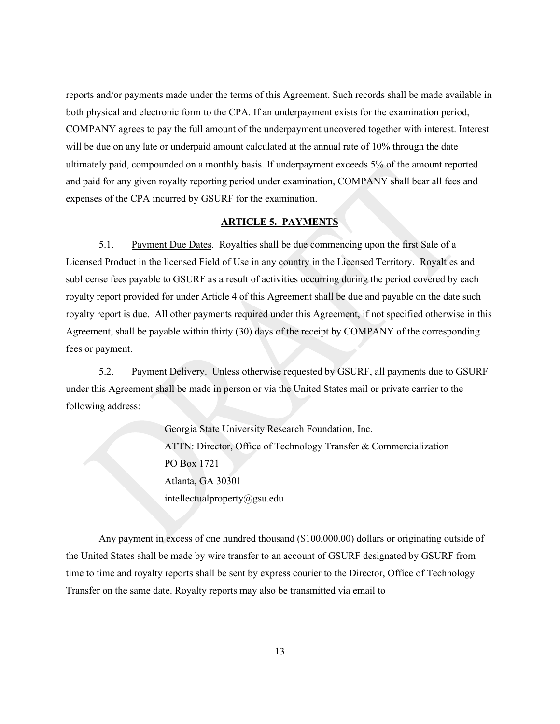reports and/or payments made under the terms of this Agreement. Such records shall be made available in both physical and electronic form to the CPA. If an underpayment exists for the examination period, COMPANY agrees to pay the full amount of the underpayment uncovered together with interest. Interest will be due on any late or underpaid amount calculated at the annual rate of 10% through the date ultimately paid, compounded on a monthly basis. If underpayment exceeds 5% of the amount reported and paid for any given royalty reporting period under examination, COMPANY shall bear all fees and expenses of the CPA incurred by GSURF for the examination.

## **ARTICLE 5. PAYMENTS**

5.1. Payment Due Dates. Royalties shall be due commencing upon the first Sale of a Licensed Product in the licensed Field of Use in any country in the Licensed Territory. Royalties and sublicense fees payable to GSURF as a result of activities occurring during the period covered by each royalty report provided for under Article 4 of this Agreement shall be due and payable on the date such royalty report is due. All other payments required under this Agreement, if not specified otherwise in this Agreement, shall be payable within thirty (30) days of the receipt by COMPANY of the corresponding fees or payment.

5.2. Payment Delivery. Unless otherwise requested by GSURF, all payments due to GSURF under this Agreement shall be made in person or via the United States mail or private carrier to the following address:

> Georgia State University Research Foundation, Inc. ATTN: Director, Office of Technology Transfer & Commercialization PO Box 1721 Atlanta, GA 30301 [intellectualproperty@gsu.edu](mailto:intellectualproperty@gsu.edu)

Any payment in excess of one hundred thousand (\$100,000.00) dollars or originating outside of the United States shall be made by wire transfer to an account of GSURF designated by GSURF from time to time and royalty reports shall be sent by express courier to the Director, Office of Technology Transfer on the same date. Royalty reports may also be transmitted via email to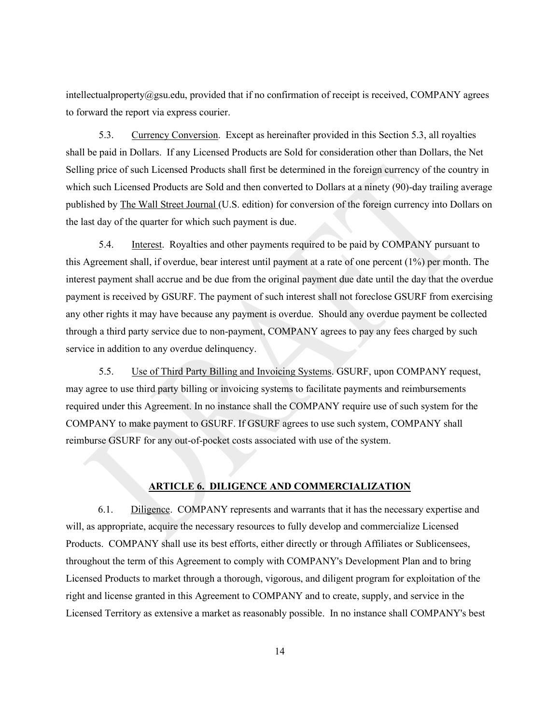intellectualproperty@gsu.edu, provided that if no confirmation of receipt is received, COMPANY agrees to forward the report via express courier.

5.3. Currency Conversion. Except as hereinafter provided in this Section 5.3, all royalties shall be paid in Dollars. If any Licensed Products are Sold for consideration other than Dollars, the Net Selling price of such Licensed Products shall first be determined in the foreign currency of the country in which such Licensed Products are Sold and then converted to Dollars at a ninety (90)-day trailing average published by The Wall Street Journal (U.S. edition) for conversion of the foreign currency into Dollars on the last day of the quarter for which such payment is due.

5.4. Interest. Royalties and other payments required to be paid by COMPANY pursuant to this Agreement shall, if overdue, bear interest until payment at a rate of one percent (1%) per month. The interest payment shall accrue and be due from the original payment due date until the day that the overdue payment is received by GSURF. The payment of such interest shall not foreclose GSURF from exercising any other rights it may have because any payment is overdue. Should any overdue payment be collected through a third party service due to non-payment, COMPANY agrees to pay any fees charged by such service in addition to any overdue delinquency.

5.5. Use of Third Party Billing and Invoicing Systems. GSURF, upon COMPANY request, may agree to use third party billing or invoicing systems to facilitate payments and reimbursements required under this Agreement. In no instance shall the COMPANY require use of such system for the COMPANY to make payment to GSURF. If GSURF agrees to use such system, COMPANY shall reimburse GSURF for any out-of-pocket costs associated with use of the system.

#### **ARTICLE 6. DILIGENCE AND COMMERCIALIZATION**

6.1. Diligence. COMPANY represents and warrants that it has the necessary expertise and will, as appropriate, acquire the necessary resources to fully develop and commercialize Licensed Products. COMPANY shall use its best efforts, either directly or through Affiliates or Sublicensees, throughout the term of this Agreement to comply with COMPANY's Development Plan and to bring Licensed Products to market through a thorough, vigorous, and diligent program for exploitation of the right and license granted in this Agreement to COMPANY and to create, supply, and service in the Licensed Territory as extensive a market as reasonably possible. In no instance shall COMPANY's best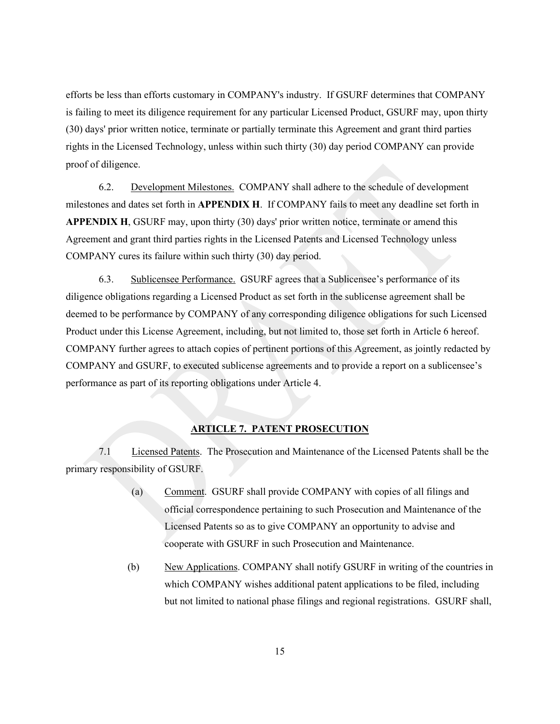efforts be less than efforts customary in COMPANY's industry. If GSURF determines that COMPANY is failing to meet its diligence requirement for any particular Licensed Product, GSURF may, upon thirty (30) days' prior written notice, terminate or partially terminate this Agreement and grant third parties rights in the Licensed Technology, unless within such thirty (30) day period COMPANY can provide proof of diligence.

6.2. Development Milestones. COMPANY shall adhere to the schedule of development milestones and dates set forth in **APPENDIX H**. If COMPANY fails to meet any deadline set forth in **APPENDIX H**, GSURF may, upon thirty (30) days' prior written notice, terminate or amend this Agreement and grant third parties rights in the Licensed Patents and Licensed Technology unless COMPANY cures its failure within such thirty (30) day period.

6.3. Sublicensee Performance. GSURF agrees that a Sublicensee's performance of its diligence obligations regarding a Licensed Product as set forth in the sublicense agreement shall be deemed to be performance by COMPANY of any corresponding diligence obligations for such Licensed Product under this License Agreement, including, but not limited to, those set forth in Article 6 hereof. COMPANY further agrees to attach copies of pertinent portions of this Agreement, as jointly redacted by COMPANY and GSURF, to executed sublicense agreements and to provide a report on a sublicensee's performance as part of its reporting obligations under Article 4.

## **ARTICLE 7. PATENT PROSECUTION**

7.1 Licensed Patents. The Prosecution and Maintenance of the Licensed Patents shall be the primary responsibility of GSURF.

- (a) Comment. GSURF shall provide COMPANY with copies of all filings and official correspondence pertaining to such Prosecution and Maintenance of the Licensed Patents so as to give COMPANY an opportunity to advise and cooperate with GSURF in such Prosecution and Maintenance.
- (b) New Applications. COMPANY shall notify GSURF in writing of the countries in which COMPANY wishes additional patent applications to be filed, including but not limited to national phase filings and regional registrations. GSURF shall,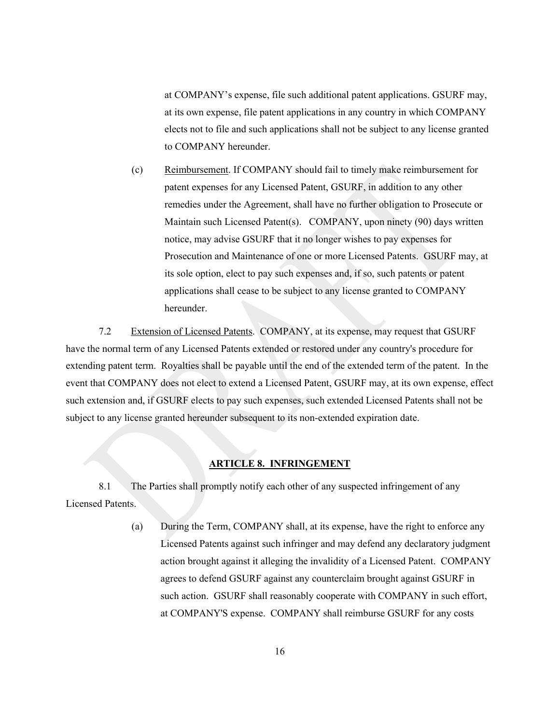at COMPANY's expense, file such additional patent applications. GSURF may, at its own expense, file patent applications in any country in which COMPANY elects not to file and such applications shall not be subject to any license granted to COMPANY hereunder.

(c) Reimbursement. If COMPANY should fail to timely make reimbursement for patent expenses for any Licensed Patent, GSURF, in addition to any other remedies under the Agreement, shall have no further obligation to Prosecute or Maintain such Licensed Patent(s). COMPANY, upon ninety (90) days written notice, may advise GSURF that it no longer wishes to pay expenses for Prosecution and Maintenance of one or more Licensed Patents. GSURF may, at its sole option, elect to pay such expenses and, if so, such patents or patent applications shall cease to be subject to any license granted to COMPANY hereunder.

7.2 Extension of Licensed Patents. COMPANY, at its expense, may request that GSURF have the normal term of any Licensed Patents extended or restored under any country's procedure for extending patent term. Royalties shall be payable until the end of the extended term of the patent. In the event that COMPANY does not elect to extend a Licensed Patent, GSURF may, at its own expense, effect such extension and, if GSURF elects to pay such expenses, such extended Licensed Patents shall not be subject to any license granted hereunder subsequent to its non-extended expiration date.

#### **ARTICLE 8. INFRINGEMENT**

8.1 The Parties shall promptly notify each other of any suspected infringement of any Licensed Patents.

> (a) During the Term, COMPANY shall, at its expense, have the right to enforce any Licensed Patents against such infringer and may defend any declaratory judgment action brought against it alleging the invalidity of a Licensed Patent. COMPANY agrees to defend GSURF against any counterclaim brought against GSURF in such action. GSURF shall reasonably cooperate with COMPANY in such effort, at COMPANY'S expense. COMPANY shall reimburse GSURF for any costs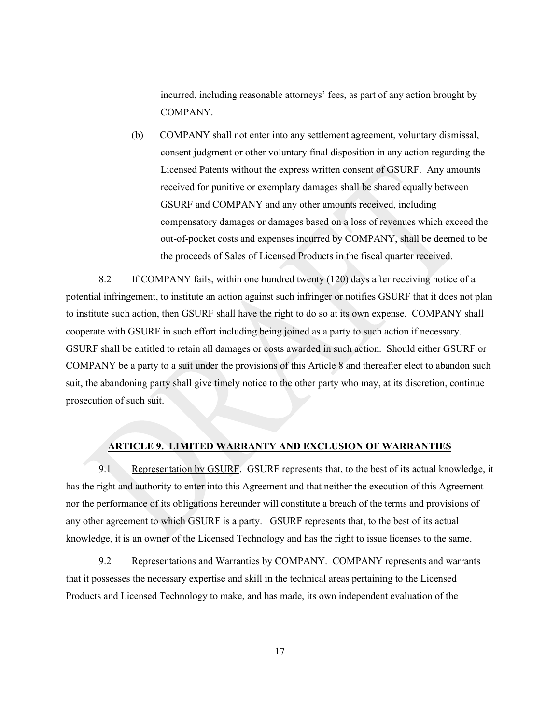incurred, including reasonable attorneys' fees, as part of any action brought by COMPANY.

(b) COMPANY shall not enter into any settlement agreement, voluntary dismissal, consent judgment or other voluntary final disposition in any action regarding the Licensed Patents without the express written consent of GSURF. Any amounts received for punitive or exemplary damages shall be shared equally between GSURF and COMPANY and any other amounts received, including compensatory damages or damages based on a loss of revenues which exceed the out-of-pocket costs and expenses incurred by COMPANY, shall be deemed to be the proceeds of Sales of Licensed Products in the fiscal quarter received.

8.2 If COMPANY fails, within one hundred twenty (120) days after receiving notice of a potential infringement, to institute an action against such infringer or notifies GSURF that it does not plan to institute such action, then GSURF shall have the right to do so at its own expense. COMPANY shall cooperate with GSURF in such effort including being joined as a party to such action if necessary. GSURF shall be entitled to retain all damages or costs awarded in such action. Should either GSURF or COMPANY be a party to a suit under the provisions of this Article 8 and thereafter elect to abandon such suit, the abandoning party shall give timely notice to the other party who may, at its discretion, continue prosecution of such suit.

#### **ARTICLE 9. LIMITED WARRANTY AND EXCLUSION OF WARRANTIES**

9.1 Representation by GSURF. GSURF represents that, to the best of its actual knowledge, it has the right and authority to enter into this Agreement and that neither the execution of this Agreement nor the performance of its obligations hereunder will constitute a breach of the terms and provisions of any other agreement to which GSURF is a party. GSURF represents that, to the best of its actual knowledge, it is an owner of the Licensed Technology and has the right to issue licenses to the same.

9.2 Representations and Warranties by COMPANY. COMPANY represents and warrants that it possesses the necessary expertise and skill in the technical areas pertaining to the Licensed Products and Licensed Technology to make, and has made, its own independent evaluation of the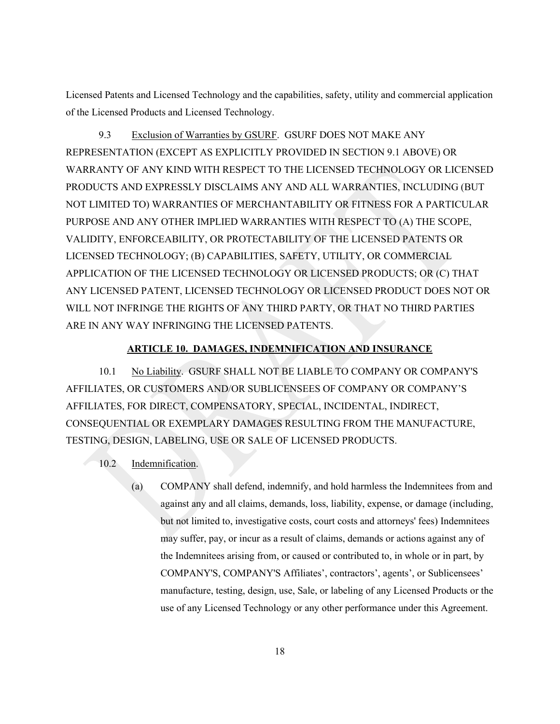Licensed Patents and Licensed Technology and the capabilities, safety, utility and commercial application of the Licensed Products and Licensed Technology.

9.3 Exclusion of Warranties by GSURF. GSURF DOES NOT MAKE ANY REPRESENTATION (EXCEPT AS EXPLICITLY PROVIDED IN SECTION 9.1 ABOVE) OR WARRANTY OF ANY KIND WITH RESPECT TO THE LICENSED TECHNOLOGY OR LICENSED PRODUCTS AND EXPRESSLY DISCLAIMS ANY AND ALL WARRANTIES, INCLUDING (BUT NOT LIMITED TO) WARRANTIES OF MERCHANTABILITY OR FITNESS FOR A PARTICULAR PURPOSE AND ANY OTHER IMPLIED WARRANTIES WITH RESPECT TO (A) THE SCOPE, VALIDITY, ENFORCEABILITY, OR PROTECTABILITY OF THE LICENSED PATENTS OR LICENSED TECHNOLOGY; (B) CAPABILITIES, SAFETY, UTILITY, OR COMMERCIAL APPLICATION OF THE LICENSED TECHNOLOGY OR LICENSED PRODUCTS; OR (C) THAT ANY LICENSED PATENT, LICENSED TECHNOLOGY OR LICENSED PRODUCT DOES NOT OR WILL NOT INFRINGE THE RIGHTS OF ANY THIRD PARTY, OR THAT NO THIRD PARTIES ARE IN ANY WAY INFRINGING THE LICENSED PATENTS.

## **ARTICLE 10. DAMAGES, INDEMNIFICATION AND INSURANCE**

10.1 No Liability. GSURF SHALL NOT BE LIABLE TO COMPANY OR COMPANY'S AFFILIATES, OR CUSTOMERS AND/OR SUBLICENSEES OF COMPANY OR COMPANY'S AFFILIATES, FOR DIRECT, COMPENSATORY, SPECIAL, INCIDENTAL, INDIRECT, CONSEQUENTIAL OR EXEMPLARY DAMAGES RESULTING FROM THE MANUFACTURE, TESTING, DESIGN, LABELING, USE OR SALE OF LICENSED PRODUCTS.

- 10.2 Indemnification.
	- (a) COMPANY shall defend, indemnify, and hold harmless the Indemnitees from and against any and all claims, demands, loss, liability, expense, or damage (including, but not limited to, investigative costs, court costs and attorneys' fees) Indemnitees may suffer, pay, or incur as a result of claims, demands or actions against any of the Indemnitees arising from, or caused or contributed to, in whole or in part, by COMPANY'S, COMPANY'S Affiliates', contractors', agents', or Sublicensees' manufacture, testing, design, use, Sale, or labeling of any Licensed Products or the use of any Licensed Technology or any other performance under this Agreement.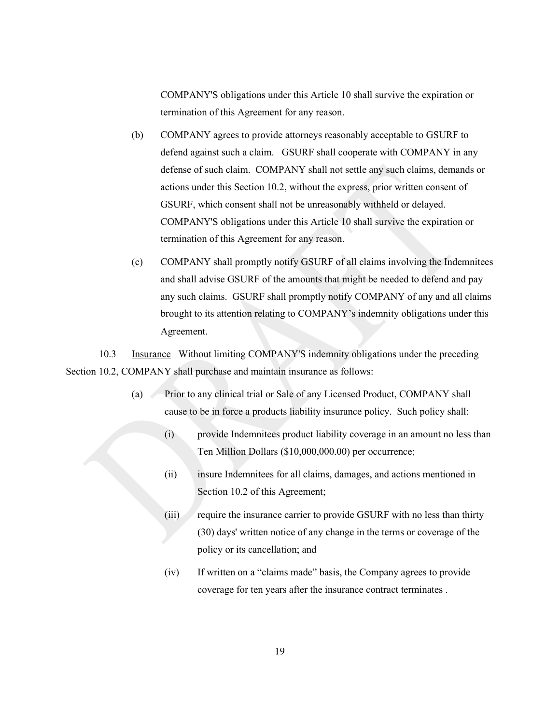COMPANY'S obligations under this Article 10 shall survive the expiration or termination of this Agreement for any reason.

- (b) COMPANY agrees to provide attorneys reasonably acceptable to GSURF to defend against such a claim. GSURF shall cooperate with COMPANY in any defense of such claim. COMPANY shall not settle any such claims, demands or actions under this Section 10.2, without the express, prior written consent of GSURF, which consent shall not be unreasonably withheld or delayed. COMPANY'S obligations under this Article 10 shall survive the expiration or termination of this Agreement for any reason.
- (c) COMPANY shall promptly notify GSURF of all claims involving the Indemnitees and shall advise GSURF of the amounts that might be needed to defend and pay any such claims. GSURF shall promptly notify COMPANY of any and all claims brought to its attention relating to COMPANY's indemnity obligations under this Agreement.

10.3 Insurance Without limiting COMPANY'S indemnity obligations under the preceding Section 10.2, COMPANY shall purchase and maintain insurance as follows:

- (a) Prior to any clinical trial or Sale of any Licensed Product, COMPANY shall cause to be in force a products liability insurance policy. Such policy shall:
	- (i) provide Indemnitees product liability coverage in an amount no less than Ten Million Dollars (\$10,000,000.00) per occurrence;
	- (ii) insure Indemnitees for all claims, damages, and actions mentioned in Section 10.2 of this Agreement;
	- (iii) require the insurance carrier to provide GSURF with no less than thirty (30) days' written notice of any change in the terms or coverage of the policy or its cancellation; and
	- (iv) If written on a "claims made" basis, the Company agrees to provide coverage for ten years after the insurance contract terminates .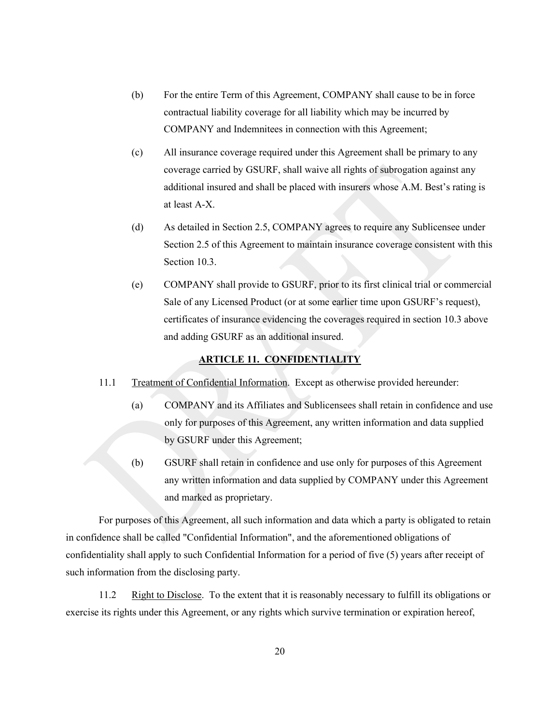- (b) For the entire Term of this Agreement, COMPANY shall cause to be in force contractual liability coverage for all liability which may be incurred by COMPANY and Indemnitees in connection with this Agreement;
- (c) All insurance coverage required under this Agreement shall be primary to any coverage carried by GSURF, shall waive all rights of subrogation against any additional insured and shall be placed with insurers whose A.M. Best's rating is at least A-X.
- (d) As detailed in Section 2.5, COMPANY agrees to require any Sublicensee under Section 2.5 of this Agreement to maintain insurance coverage consistent with this Section 10.3.
- (e) COMPANY shall provide to GSURF, prior to its first clinical trial or commercial Sale of any Licensed Product (or at some earlier time upon GSURF's request), certificates of insurance evidencing the coverages required in section 10.3 above and adding GSURF as an additional insured.

## **ARTICLE 11. CONFIDENTIALITY**

- 11.1 Treatment of Confidential Information. Except as otherwise provided hereunder:
	- (a) COMPANY and its Affiliates and Sublicensees shall retain in confidence and use only for purposes of this Agreement, any written information and data supplied by GSURF under this Agreement;
	- (b) GSURF shall retain in confidence and use only for purposes of this Agreement any written information and data supplied by COMPANY under this Agreement and marked as proprietary.

For purposes of this Agreement, all such information and data which a party is obligated to retain in confidence shall be called "Confidential Information", and the aforementioned obligations of confidentiality shall apply to such Confidential Information for a period of five (5) years after receipt of such information from the disclosing party.

11.2 Right to Disclose. To the extent that it is reasonably necessary to fulfill its obligations or exercise its rights under this Agreement, or any rights which survive termination or expiration hereof,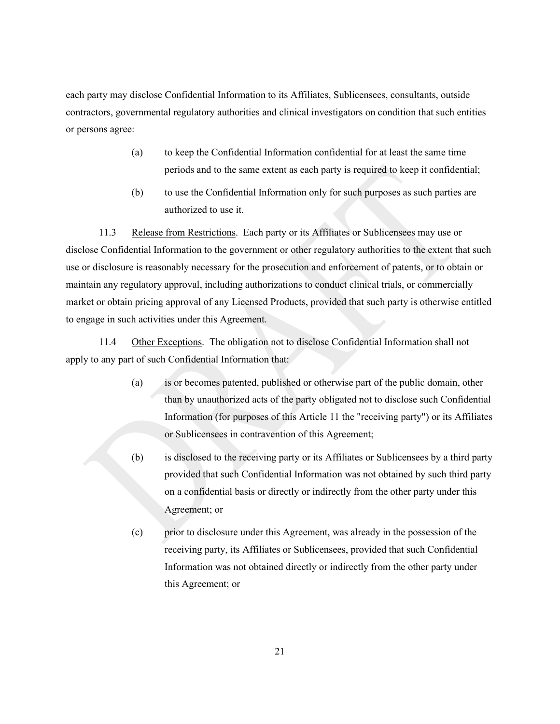each party may disclose Confidential Information to its Affiliates, Sublicensees, consultants, outside contractors, governmental regulatory authorities and clinical investigators on condition that such entities or persons agree:

- (a) to keep the Confidential Information confidential for at least the same time periods and to the same extent as each party is required to keep it confidential;
- (b) to use the Confidential Information only for such purposes as such parties are authorized to use it.

11.3 Release from Restrictions. Each party or its Affiliates or Sublicensees may use or disclose Confidential Information to the government or other regulatory authorities to the extent that such use or disclosure is reasonably necessary for the prosecution and enforcement of patents, or to obtain or maintain any regulatory approval, including authorizations to conduct clinical trials, or commercially market or obtain pricing approval of any Licensed Products, provided that such party is otherwise entitled to engage in such activities under this Agreement.

11.4 Other Exceptions. The obligation not to disclose Confidential Information shall not apply to any part of such Confidential Information that:

- (a) is or becomes patented, published or otherwise part of the public domain, other than by unauthorized acts of the party obligated not to disclose such Confidential Information (for purposes of this Article 11 the "receiving party") or its Affiliates or Sublicensees in contravention of this Agreement;
- (b) is disclosed to the receiving party or its Affiliates or Sublicensees by a third party provided that such Confidential Information was not obtained by such third party on a confidential basis or directly or indirectly from the other party under this Agreement; or
- (c) prior to disclosure under this Agreement, was already in the possession of the receiving party, its Affiliates or Sublicensees, provided that such Confidential Information was not obtained directly or indirectly from the other party under this Agreement; or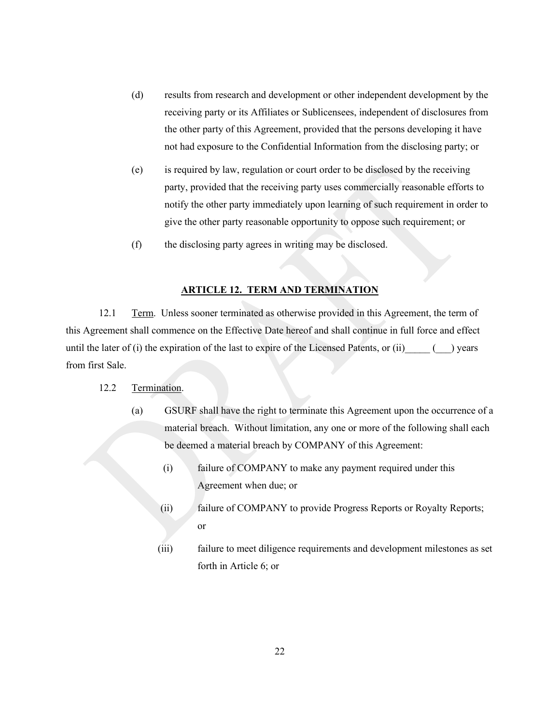- (d) results from research and development or other independent development by the receiving party or its Affiliates or Sublicensees, independent of disclosures from the other party of this Agreement, provided that the persons developing it have not had exposure to the Confidential Information from the disclosing party; or
- (e) is required by law, regulation or court order to be disclosed by the receiving party, provided that the receiving party uses commercially reasonable efforts to notify the other party immediately upon learning of such requirement in order to give the other party reasonable opportunity to oppose such requirement; or
- (f) the disclosing party agrees in writing may be disclosed.

#### **ARTICLE 12. TERM AND TERMINATION**

12.1 Term. Unless sooner terminated as otherwise provided in this Agreement, the term of this Agreement shall commence on the Effective Date hereof and shall continue in full force and effect until the later of  $(i)$  the expiration of the last to expire of the Licensed Patents, or  $(ii)$  () years from first Sale.

- 12.2 Termination.
	- (a) GSURF shall have the right to terminate this Agreement upon the occurrence of a material breach. Without limitation, any one or more of the following shall each be deemed a material breach by COMPANY of this Agreement:
		- (i) failure of COMPANY to make any payment required under this Agreement when due; or
		- (ii) failure of COMPANY to provide Progress Reports or Royalty Reports; or
		- (iii) failure to meet diligence requirements and development milestones as set forth in Article 6; or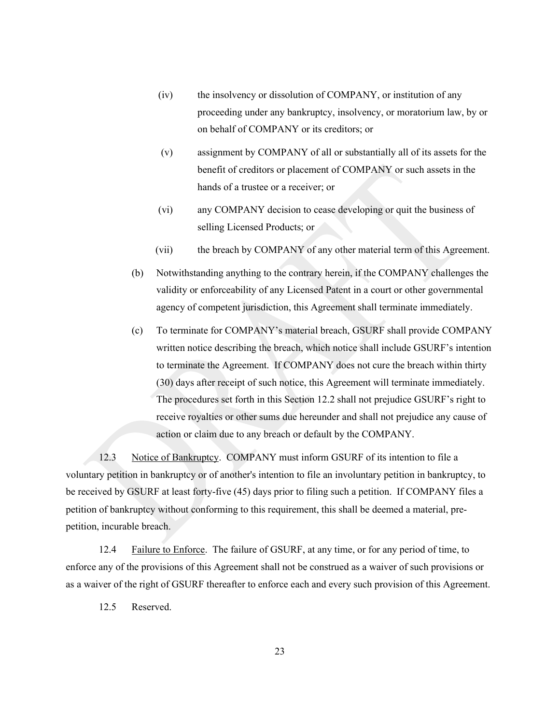- (iv) the insolvency or dissolution of COMPANY, or institution of any proceeding under any bankruptcy, insolvency, or moratorium law, by or on behalf of COMPANY or its creditors; or
- (v) assignment by COMPANY of all or substantially all of its assets for the benefit of creditors or placement of COMPANY or such assets in the hands of a trustee or a receiver; or
- (vi) any COMPANY decision to cease developing or quit the business of selling Licensed Products; or
- (vii) the breach by COMPANY of any other material term of this Agreement.
- (b) Notwithstanding anything to the contrary herein, if the COMPANY challenges the validity or enforceability of any Licensed Patent in a court or other governmental agency of competent jurisdiction, this Agreement shall terminate immediately.
- (c) To terminate for COMPANY's material breach, GSURF shall provide COMPANY written notice describing the breach, which notice shall include GSURF's intention to terminate the Agreement. If COMPANY does not cure the breach within thirty (30) days after receipt of such notice, this Agreement will terminate immediately. The procedures set forth in this Section 12.2 shall not prejudice GSURF's right to receive royalties or other sums due hereunder and shall not prejudice any cause of action or claim due to any breach or default by the COMPANY.

12.3 Notice of Bankruptcy. COMPANY must inform GSURF of its intention to file a voluntary petition in bankruptcy or of another's intention to file an involuntary petition in bankruptcy, to be received by GSURF at least forty-five (45) days prior to filing such a petition. If COMPANY files a petition of bankruptcy without conforming to this requirement, this shall be deemed a material, prepetition, incurable breach.

12.4 Failure to Enforce. The failure of GSURF, at any time, or for any period of time, to enforce any of the provisions of this Agreement shall not be construed as a waiver of such provisions or as a waiver of the right of GSURF thereafter to enforce each and every such provision of this Agreement.

12.5 Reserved.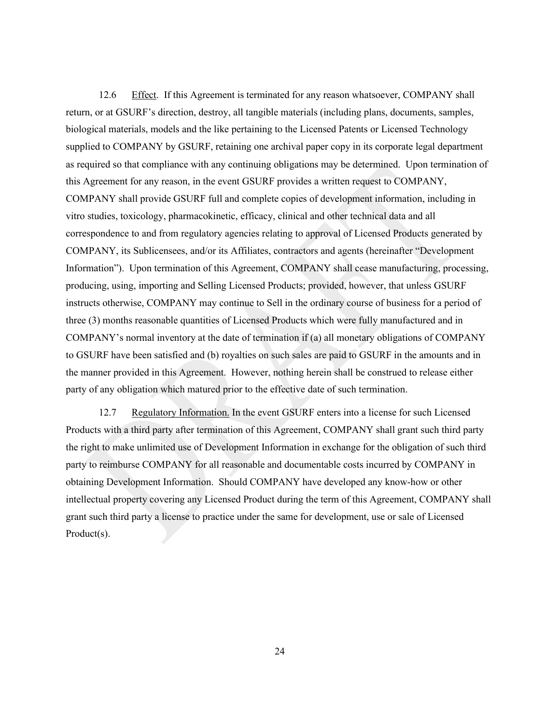12.6 Effect. If this Agreement is terminated for any reason whatsoever, COMPANY shall return, or at GSURF's direction, destroy, all tangible materials (including plans, documents, samples, biological materials, models and the like pertaining to the Licensed Patents or Licensed Technology supplied to COMPANY by GSURF, retaining one archival paper copy in its corporate legal department as required so that compliance with any continuing obligations may be determined. Upon termination of this Agreement for any reason, in the event GSURF provides a written request to COMPANY, COMPANY shall provide GSURF full and complete copies of development information, including in vitro studies, toxicology, pharmacokinetic, efficacy, clinical and other technical data and all correspondence to and from regulatory agencies relating to approval of Licensed Products generated by COMPANY, its Sublicensees, and/or its Affiliates, contractors and agents (hereinafter "Development Information"). Upon termination of this Agreement, COMPANY shall cease manufacturing, processing, producing, using, importing and Selling Licensed Products; provided, however, that unless GSURF instructs otherwise, COMPANY may continue to Sell in the ordinary course of business for a period of three (3) months reasonable quantities of Licensed Products which were fully manufactured and in COMPANY's normal inventory at the date of termination if (a) all monetary obligations of COMPANY to GSURF have been satisfied and (b) royalties on such sales are paid to GSURF in the amounts and in the manner provided in this Agreement. However, nothing herein shall be construed to release either party of any obligation which matured prior to the effective date of such termination.

12.7 Regulatory Information. In the event GSURF enters into a license for such Licensed Products with a third party after termination of this Agreement, COMPANY shall grant such third party the right to make unlimited use of Development Information in exchange for the obligation of such third party to reimburse COMPANY for all reasonable and documentable costs incurred by COMPANY in obtaining Development Information. Should COMPANY have developed any know-how or other intellectual property covering any Licensed Product during the term of this Agreement, COMPANY shall grant such third party a license to practice under the same for development, use or sale of Licensed Product(s).

24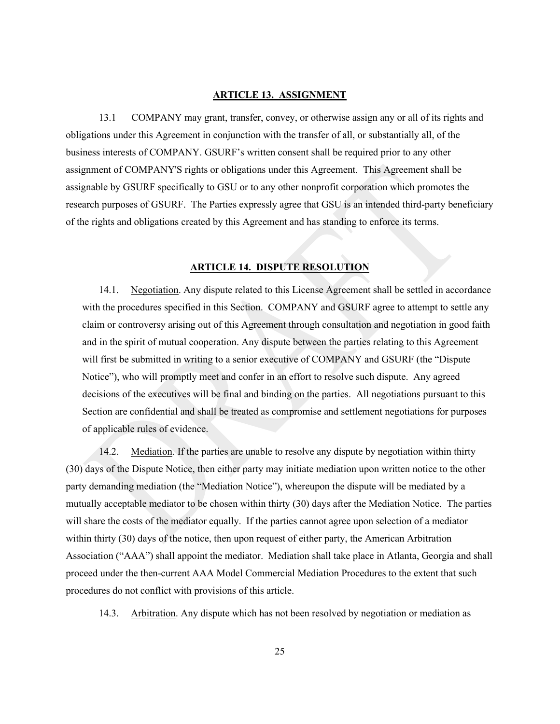#### **ARTICLE 13. ASSIGNMENT**

13.1 COMPANY may grant, transfer, convey, or otherwise assign any or all of its rights and obligations under this Agreement in conjunction with the transfer of all, or substantially all, of the business interests of COMPANY. GSURF's written consent shall be required prior to any other assignment of COMPANY'S rights or obligations under this Agreement. This Agreement shall be assignable by GSURF specifically to GSU or to any other nonprofit corporation which promotes the research purposes of GSURF. The Parties expressly agree that GSU is an intended third-party beneficiary of the rights and obligations created by this Agreement and has standing to enforce its terms.

## **ARTICLE 14. DISPUTE RESOLUTION**

14.1. Negotiation. Any dispute related to this License Agreement shall be settled in accordance with the procedures specified in this Section. COMPANY and GSURF agree to attempt to settle any claim or controversy arising out of this Agreement through consultation and negotiation in good faith and in the spirit of mutual cooperation. Any dispute between the parties relating to this Agreement will first be submitted in writing to a senior executive of COMPANY and GSURF (the "Dispute Notice"), who will promptly meet and confer in an effort to resolve such dispute. Any agreed decisions of the executives will be final and binding on the parties. All negotiations pursuant to this Section are confidential and shall be treated as compromise and settlement negotiations for purposes of applicable rules of evidence.

14.2. Mediation. If the parties are unable to resolve any dispute by negotiation within thirty (30) days of the Dispute Notice, then either party may initiate mediation upon written notice to the other party demanding mediation (the "Mediation Notice"), whereupon the dispute will be mediated by a mutually acceptable mediator to be chosen within thirty (30) days after the Mediation Notice. The parties will share the costs of the mediator equally. If the parties cannot agree upon selection of a mediator within thirty (30) days of the notice, then upon request of either party, the American Arbitration Association ("AAA") shall appoint the mediator. Mediation shall take place in Atlanta, Georgia and shall proceed under the then-current AAA Model Commercial Mediation Procedures to the extent that such procedures do not conflict with provisions of this article.

14.3. Arbitration. Any dispute which has not been resolved by negotiation or mediation as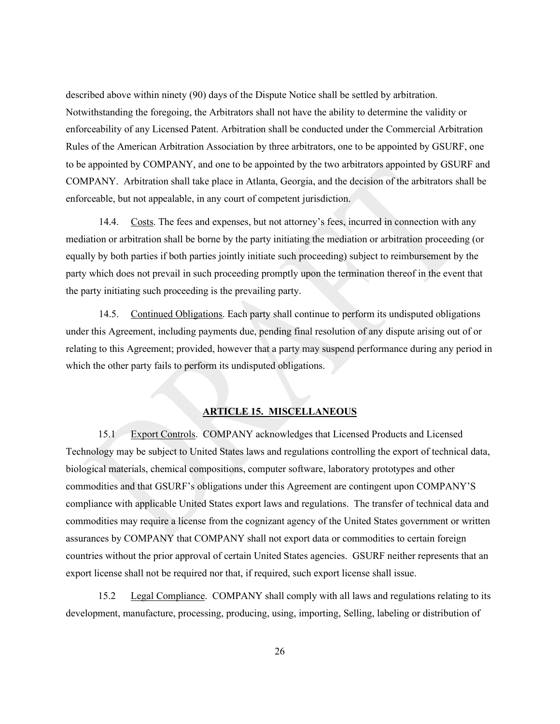described above within ninety (90) days of the Dispute Notice shall be settled by arbitration. Notwithstanding the foregoing, the Arbitrators shall not have the ability to determine the validity or enforceability of any Licensed Patent. Arbitration shall be conducted under the Commercial Arbitration Rules of the American Arbitration Association by three arbitrators, one to be appointed by GSURF, one to be appointed by COMPANY, and one to be appointed by the two arbitrators appointed by GSURF and COMPANY. Arbitration shall take place in Atlanta, Georgia, and the decision of the arbitrators shall be enforceable, but not appealable, in any court of competent jurisdiction.

14.4. Costs. The fees and expenses, but not attorney's fees, incurred in connection with any mediation or arbitration shall be borne by the party initiating the mediation or arbitration proceeding (or equally by both parties if both parties jointly initiate such proceeding) subject to reimbursement by the party which does not prevail in such proceeding promptly upon the termination thereof in the event that the party initiating such proceeding is the prevailing party.

14.5. Continued Obligations. Each party shall continue to perform its undisputed obligations under this Agreement, including payments due, pending final resolution of any dispute arising out of or relating to this Agreement; provided, however that a party may suspend performance during any period in which the other party fails to perform its undisputed obligations.

## **ARTICLE 15. MISCELLANEOUS**

15.1 Export Controls. COMPANY acknowledges that Licensed Products and Licensed Technology may be subject to United States laws and regulations controlling the export of technical data, biological materials, chemical compositions, computer software, laboratory prototypes and other commodities and that GSURF's obligations under this Agreement are contingent upon COMPANY'S compliance with applicable United States export laws and regulations. The transfer of technical data and commodities may require a license from the cognizant agency of the United States government or written assurances by COMPANY that COMPANY shall not export data or commodities to certain foreign countries without the prior approval of certain United States agencies. GSURF neither represents that an export license shall not be required nor that, if required, such export license shall issue.

15.2 Legal Compliance. COMPANY shall comply with all laws and regulations relating to its development, manufacture, processing, producing, using, importing, Selling, labeling or distribution of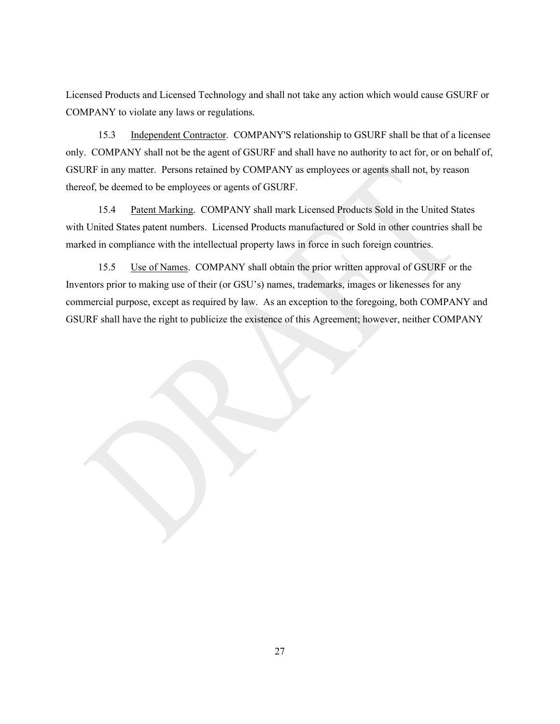Licensed Products and Licensed Technology and shall not take any action which would cause GSURF or COMPANY to violate any laws or regulations.

15.3 Independent Contractor. COMPANY'S relationship to GSURF shall be that of a licensee only. COMPANY shall not be the agent of GSURF and shall have no authority to act for, or on behalf of, GSURF in any matter. Persons retained by COMPANY as employees or agents shall not, by reason thereof, be deemed to be employees or agents of GSURF.

15.4 Patent Marking. COMPANY shall mark Licensed Products Sold in the United States with United States patent numbers. Licensed Products manufactured or Sold in other countries shall be marked in compliance with the intellectual property laws in force in such foreign countries.

15.5 Use of Names. COMPANY shall obtain the prior written approval of GSURF or the Inventors prior to making use of their (or GSU's) names, trademarks, images or likenesses for any commercial purpose, except as required by law. As an exception to the foregoing, both COMPANY and GSURF shall have the right to publicize the existence of this Agreement; however, neither COMPANY

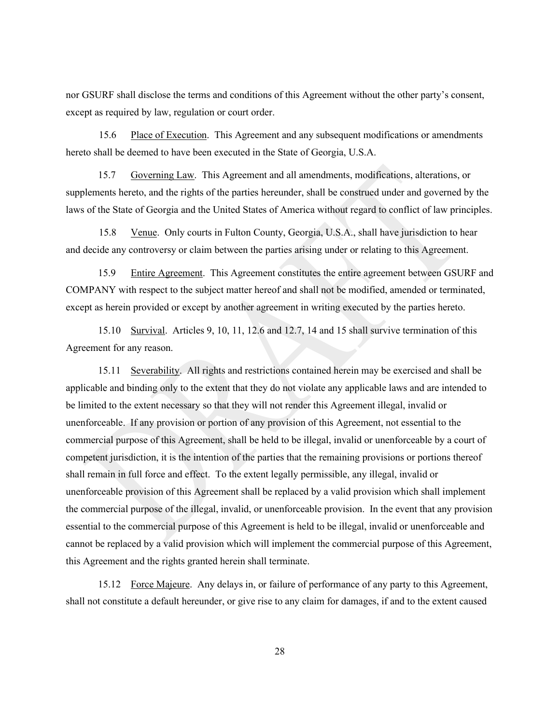nor GSURF shall disclose the terms and conditions of this Agreement without the other party's consent, except as required by law, regulation or court order.

15.6 Place of Execution. This Agreement and any subsequent modifications or amendments hereto shall be deemed to have been executed in the State of Georgia, U.S.A.

15.7 Governing Law. This Agreement and all amendments, modifications, alterations, or supplements hereto, and the rights of the parties hereunder, shall be construed under and governed by the laws of the State of Georgia and the United States of America without regard to conflict of law principles.

15.8 Venue. Only courts in Fulton County, Georgia, U.S.A., shall have jurisdiction to hear and decide any controversy or claim between the parties arising under or relating to this Agreement.

15.9 Entire Agreement. This Agreement constitutes the entire agreement between GSURF and COMPANY with respect to the subject matter hereof and shall not be modified, amended or terminated, except as herein provided or except by another agreement in writing executed by the parties hereto.

15.10 Survival. Articles 9, 10, 11, 12.6 and 12.7, 14 and 15 shall survive termination of this Agreement for any reason.

15.11 Severability. All rights and restrictions contained herein may be exercised and shall be applicable and binding only to the extent that they do not violate any applicable laws and are intended to be limited to the extent necessary so that they will not render this Agreement illegal, invalid or unenforceable. If any provision or portion of any provision of this Agreement, not essential to the commercial purpose of this Agreement, shall be held to be illegal, invalid or unenforceable by a court of competent jurisdiction, it is the intention of the parties that the remaining provisions or portions thereof shall remain in full force and effect. To the extent legally permissible, any illegal, invalid or unenforceable provision of this Agreement shall be replaced by a valid provision which shall implement the commercial purpose of the illegal, invalid, or unenforceable provision. In the event that any provision essential to the commercial purpose of this Agreement is held to be illegal, invalid or unenforceable and cannot be replaced by a valid provision which will implement the commercial purpose of this Agreement, this Agreement and the rights granted herein shall terminate.

15.12 Force Majeure. Any delays in, or failure of performance of any party to this Agreement, shall not constitute a default hereunder, or give rise to any claim for damages, if and to the extent caused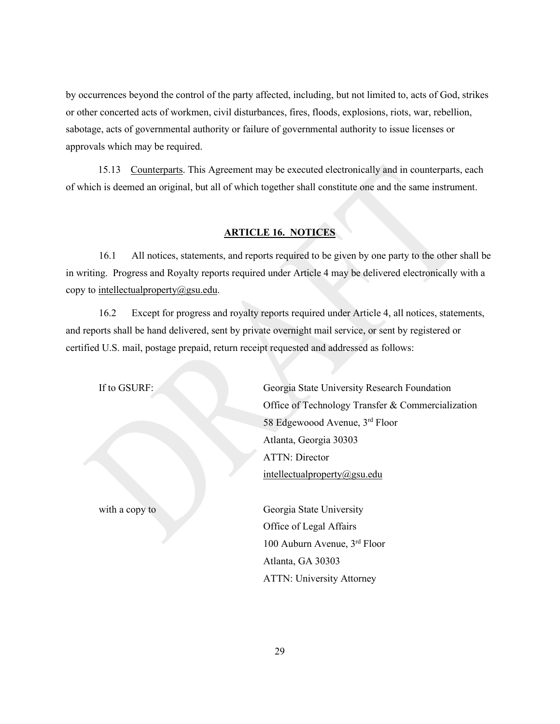by occurrences beyond the control of the party affected, including, but not limited to, acts of God, strikes or other concerted acts of workmen, civil disturbances, fires, floods, explosions, riots, war, rebellion, sabotage, acts of governmental authority or failure of governmental authority to issue licenses or approvals which may be required.

15.13 Counterparts. This Agreement may be executed electronically and in counterparts, each of which is deemed an original, but all of which together shall constitute one and the same instrument.

## **ARTICLE 16. NOTICES**

16.1 All notices, statements, and reports required to be given by one party to the other shall be in writing. Progress and Royalty reports required under Article 4 may be delivered electronically with a copy to [intellectualproperty@gsu.edu.](mailto:intellectualproperty@gsu.edu)

16.2 Except for progress and royalty reports required under Article 4, all notices, statements, and reports shall be hand delivered, sent by private overnight mail service, or sent by registered or certified U.S. mail, postage prepaid, return receipt requested and addressed as follows:

If to GSURF: Georgia State University Research Foundation Office of Technology Transfer & Commercialization 58 Edgewoood Avenue, 3rd Floor Atlanta, Georgia 30303 ATTN: Director [intellectualproperty@gsu.edu](mailto:intellectualproperty@gsu.edu)

with a copy to Georgia State University Office of Legal Affairs 100 Auburn Avenue, 3rd Floor Atlanta, GA 30303 ATTN: University Attorney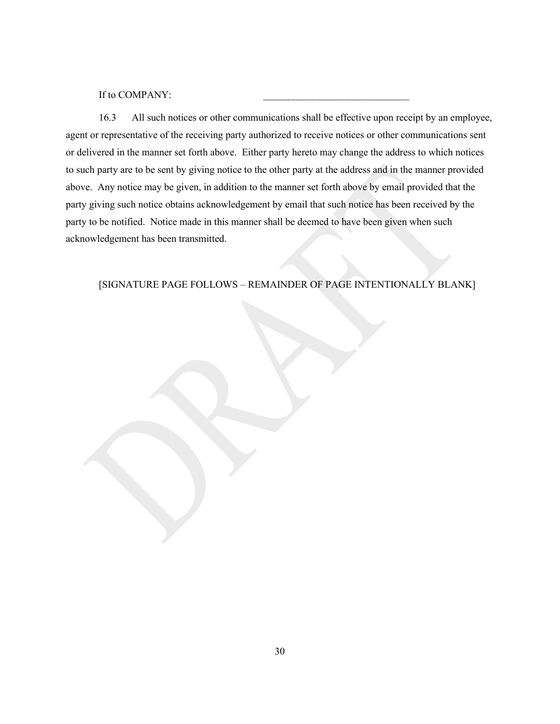If to COMPANY:

16.3 All such notices or other communications shall be effective upon receipt by an employee, agent or representative of the receiving party authorized to receive notices or other communications sent or delivered in the manner set forth above. Either party hereto may change the address to which notices to such party are to be sent by giving notice to the other party at the address and in the manner provided above. Any notice may be given, in addition to the manner set forth above by email provided that the party giving such notice obtains acknowledgement by email that such notice has been received by the party to be notified. Notice made in this manner shall be deemed to have been given when such acknowledgement has been transmitted.

## [SIGNATURE PAGE FOLLOWS – REMAINDER OF PAGE INTENTIONALLY BLANK]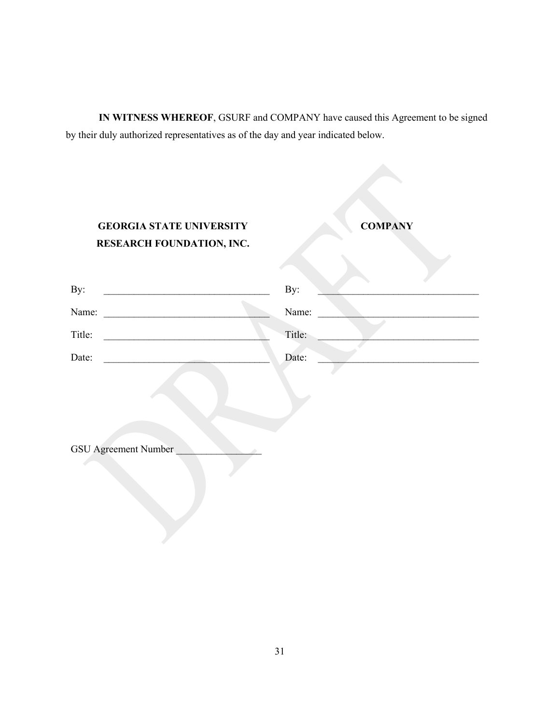**IN WITNESS WHEREOF**, GSURF and COMPANY have caused this Agreement to be signed by their duly authorized representatives as of the day and year indicated below.

| <b>GEORGIA STATE UNIVERSITY</b><br>RESEARCH FOUNDATION, INC.                                     | <b>COMPANY</b> |
|--------------------------------------------------------------------------------------------------|----------------|
| By:<br>the control of the control of the control of the control of the control of the control of | By:            |
| Name:                                                                                            | Name:          |
| Title:                                                                                           | Title:         |
| Date:                                                                                            | Date:          |
|                                                                                                  |                |

GSU Agreement Number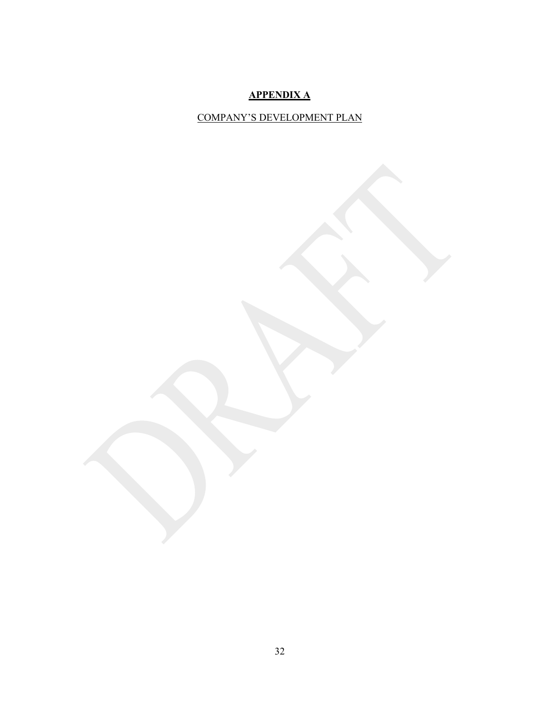## **APPENDIX A**

## COMPANY'S DEVELOPMENT PLAN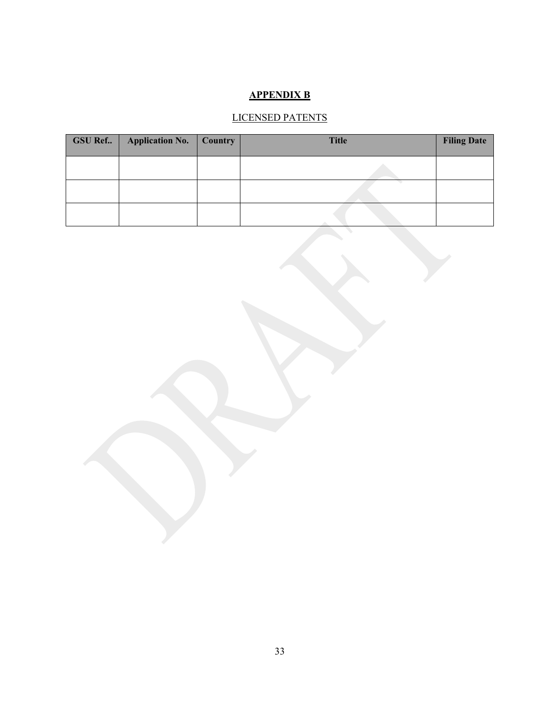## **APPENDIX B**

# LICENSED PATENTS

| $GSU$ Ref | Application No.   Country | <b>Title</b> | <b>Filing Date</b> |
|-----------|---------------------------|--------------|--------------------|
|           |                           |              |                    |
|           |                           |              |                    |
|           |                           |              |                    |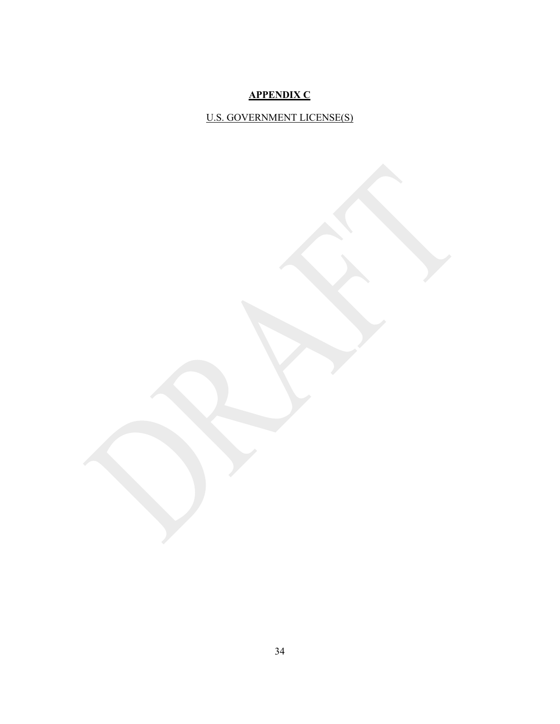## **APPENDIX C**

U.S. GOVERNMENT LICENSE(S)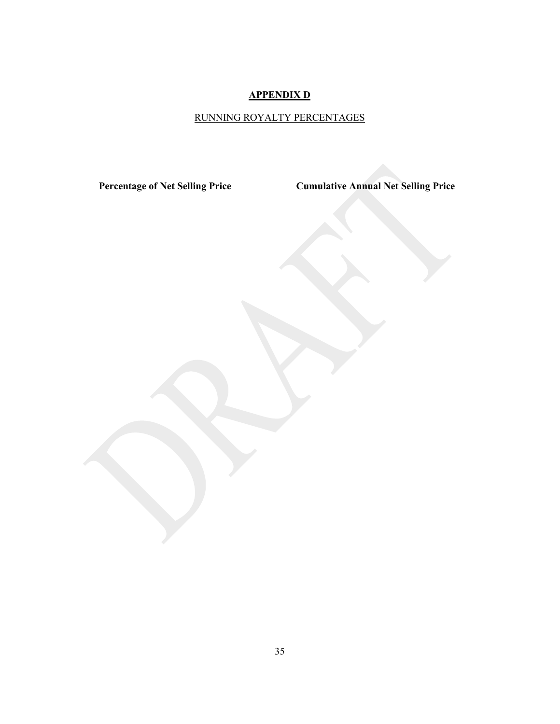## **APPENDIX D**

# RUNNING ROYALTY PERCENTAGES

**Percentage of Net Selling Price Cumulative Annual Net Selling Price**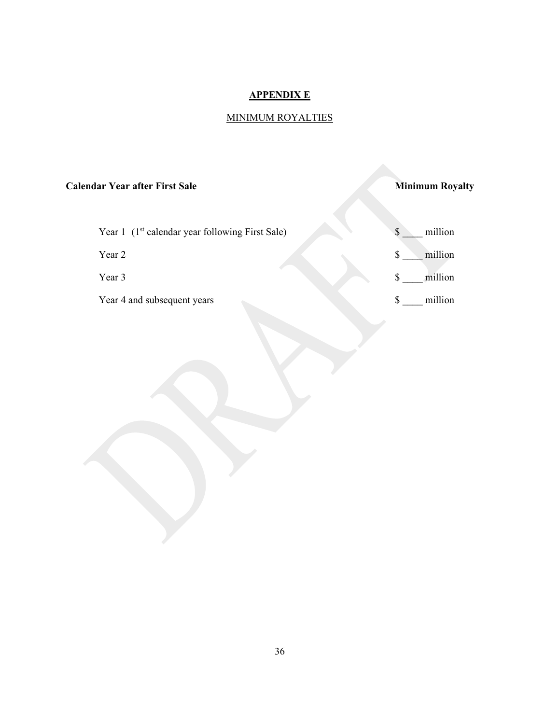## **APPENDIX E**

# MINIMUM ROYALTIES

## **Calendar Year after First Sale Minimum Royalty**

| Year 1 (1 <sup>st</sup> calendar year following First Sale) | million |
|-------------------------------------------------------------|---------|
| Year 2                                                      | million |
| Year 3                                                      | million |
| Year 4 and subsequent years                                 | million |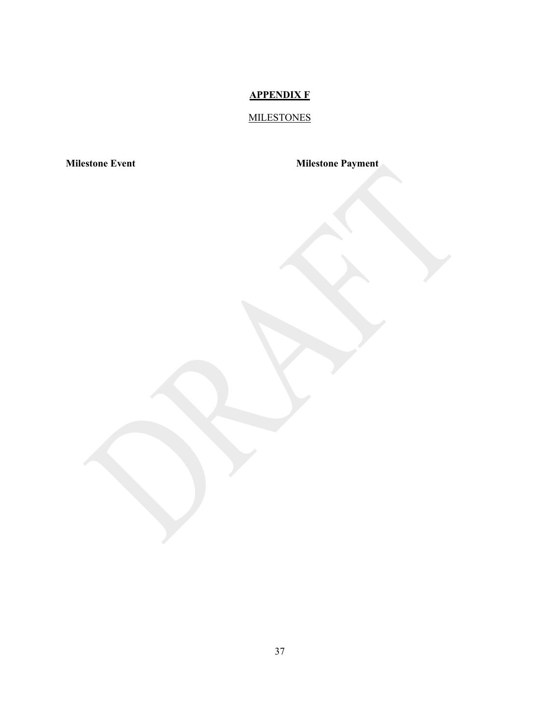## **APPENDIX F**

# **MILESTONES**

**Milestone Event Milestone Payment**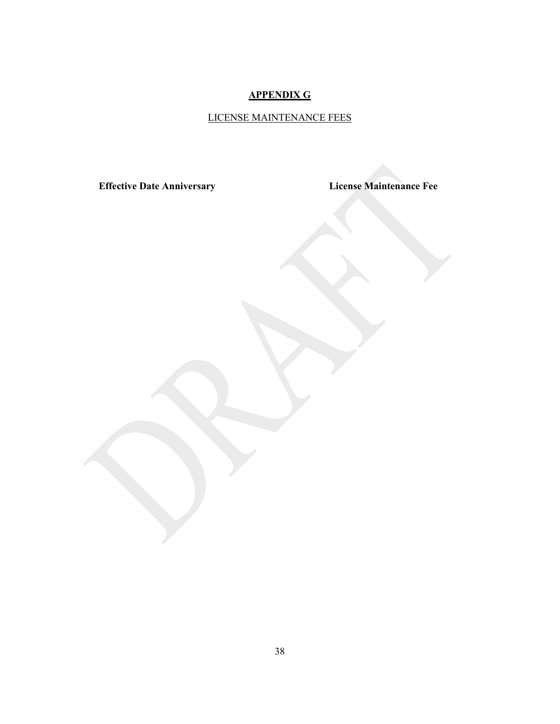# **APPENDIX G**

# LICENSE MAINTENANCE FEES

**Effective Date Anniversary License Maintenance Fee**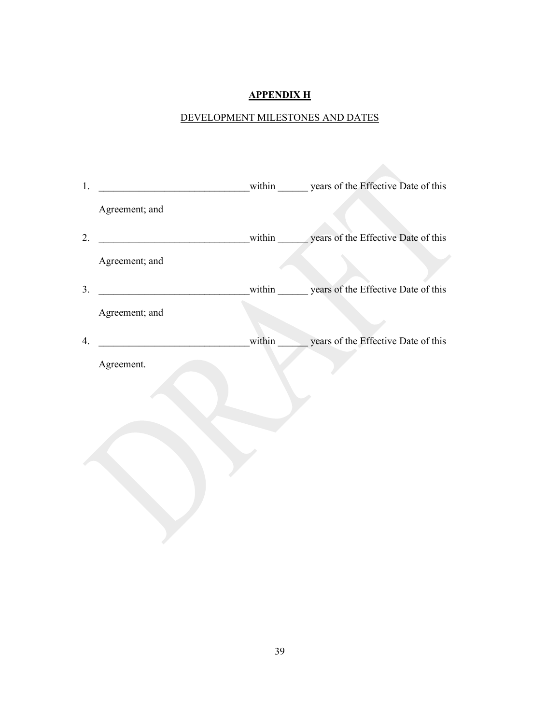## **APPENDIX H**

# DEVELOPMENT MILESTONES AND DATES

| 1. |                |        | within years of the Effective Date of this |
|----|----------------|--------|--------------------------------------------|
|    | Agreement; and |        |                                            |
| 2. |                |        | within years of the Effective Date of this |
|    | Agreement; and |        |                                            |
| 3. |                |        | within years of the Effective Date of this |
|    | Agreement; and |        |                                            |
| 4. |                | within | years of the Effective Date of this        |
|    | Agreement.     |        |                                            |
|    |                |        |                                            |
|    |                |        |                                            |
|    |                |        |                                            |
|    |                |        |                                            |
|    |                |        |                                            |
|    |                |        |                                            |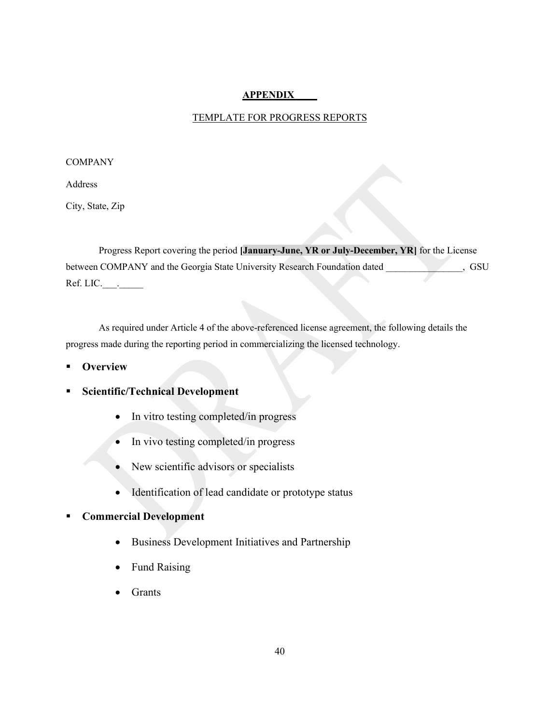## **APPENDIX \_\_\_\_**

### TEMPLATE FOR PROGRESS REPORTS

#### **COMPANY**

Address

City, State, Zip

Progress Report covering the period **[January-June, YR or July-December, YR]** for the License between COMPANY and the Georgia State University Research Foundation dated \_\_\_\_\_\_\_\_\_\_\_\_\_\_, GSU Ref. LIC.  $\qquad \qquad$ .

As required under Article 4 of the above-referenced license agreement, the following details the progress made during the reporting period in commercializing the licensed technology.

- **Overview**
- **Scientific/Technical Development**
	- In vitro testing completed/in progress
	- In vivo testing completed/in progress
	- New scientific advisors or specialists
	- Identification of lead candidate or prototype status

## **Commercial Development**

- Business Development Initiatives and Partnership
- Fund Raising
- **Grants**